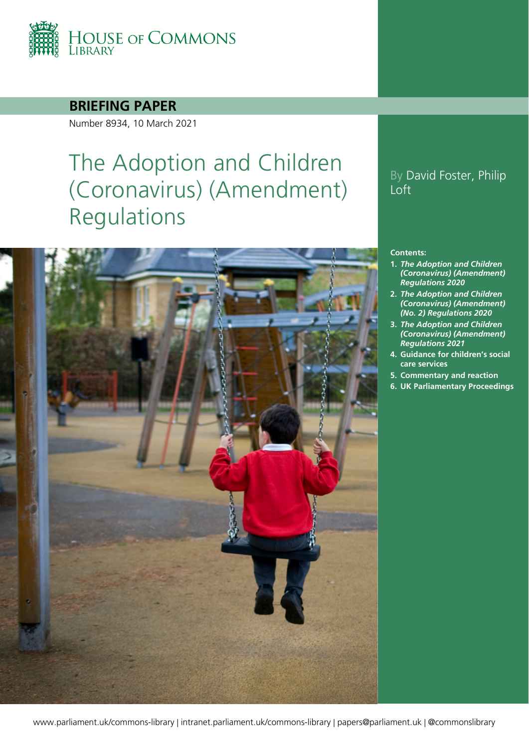

### **BRIEFING PAPER**

Number 8934, 10 March 2021

# The Adoption and Children (Coronavirus) (Amendment) Regulations



### By David Foster, Philip Loft

#### **Contents:**

- **1.** *[The Adoption and Children](#page-3-0)  [\(Coronavirus\) \(Amendment\)](#page-3-0)  [Regulations 2020](#page-3-0)*
- **2.** *[The Adoption and Children](#page-7-0)  [\(Coronavirus\) \(Amendment\)](#page-7-0)  [\(No. 2\) Regulations 2020](#page-7-0)*
- **3.** *[The Adoption and Children](#page-11-0)  [\(Coronavirus\) \(Amendment\)](#page-11-0)  [Regulations 2021](#page-11-0)*
- **4. [Guidance for children's social](#page-14-0)  [care services](#page-14-0)**
- **5. [Commentary and reaction](#page-15-0)**
- **6. [UK Parliamentary Proceedings](#page-18-0)**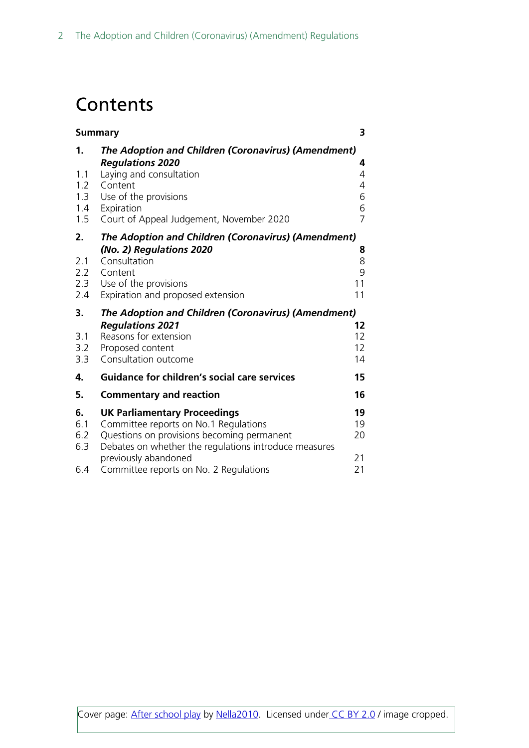## **Contents**

| <b>Summary</b> |                                                                                                     | 3                   |
|----------------|-----------------------------------------------------------------------------------------------------|---------------------|
| 1.             | The Adoption and Children (Coronavirus) (Amendment)<br><b>Regulations 2020</b>                      | 4                   |
| 1.1<br>1.2     | Laying and consultation<br>Content                                                                  | 4<br>4              |
| 1.3            | Use of the provisions                                                                               | 6                   |
| 1.4<br>1.5     | Expiration<br>Court of Appeal Judgement, November 2020                                              | 6<br>$\overline{7}$ |
| 2.             | The Adoption and Children (Coronavirus) (Amendment)                                                 |                     |
| 2.1<br>2.2     | (No. 2) Regulations 2020<br>Consultation<br>Content                                                 | 8<br>8<br>9         |
| 2.3<br>2.4     | Use of the provisions<br>Expiration and proposed extension                                          | 11<br>11            |
| 3.             | The Adoption and Children (Coronavirus) (Amendment)                                                 |                     |
| 3.1            | <b>Regulations 2021</b><br>Reasons for extension                                                    | 12<br>12            |
| 3.2            | Proposed content                                                                                    | 12                  |
| 3.3            | Consultation outcome                                                                                | 14                  |
| 4.             | <b>Guidance for children's social care services</b>                                                 | 15                  |
| 5.             | <b>Commentary and reaction</b>                                                                      | 16                  |
| 6.             | <b>UK Parliamentary Proceedings</b>                                                                 | 19                  |
| 6.1            | Committee reports on No.1 Regulations                                                               | 19                  |
| $6.2$<br>6.3   | Questions on provisions becoming permanent<br>Debates on whether the regulations introduce measures | 20                  |
|                | previously abandoned                                                                                | 21                  |
| 6.4            | Committee reports on No. 2 Regulations                                                              | 21                  |

Cover page: [After school play](https://www.flickr.com/photos/nella_nutella/13994355371/in/photolist-njCJia-eXYumR-9WLSri-32RRUr-3bFJdW-2gwSVg-4GBPtn-7NHp6J-fbDTM6-4mQrGD-nUFqxX-sdB2LL-7XbVA1-5L5aCk-fjov89-fjovs7-5oS93S-fjovPG-a94U4K-oPXGc2-5eNkBQ-8v1wEG-9K6sQU-4q4nQo-hGMr9-eRzwri-4re89-afYjoi-d7SqRL-dYbWQM-6LE4yR-bEFwvC-a549no-dqHeEg-qRT1dX-6M5AHr-rixs6f-772S7H-rKiQxV-p3pgpZ-8zuBqq-6CddTJ-9eazEL-p8caHY-67UeTU-rZqyZZ-rXcuGU-67Uf13-NtHtv-Gaxyc) by [Nella2010.](https://www.flickr.com/photos/nella_nutella/) Licensed under [CC BY 2.0](https://creativecommons.org/licenses/by-nc/2.0/) / image cropped.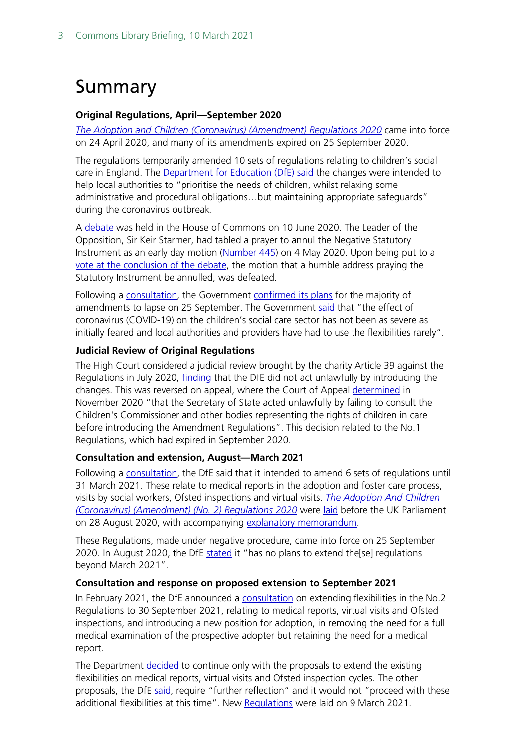# <span id="page-2-0"></span>Summary

### **Original Regulations, April—September 2020**

*[The Adoption and Children \(Coronavirus\) \(Amendment\) Regulations 2020](http://www.legislation.gov.uk/uksi/2020/445/contents/made)* came into force on 24 April 2020, and many of its amendments expired on 25 September 2020.

The regulations temporarily amended 10 sets of regulations relating to children's social care in England. The [Department for Education \(DfE\) said](http://www.legislation.gov.uk/uksi/2020/445/pdfs/uksiem_20200445_en.pdf) the changes were intended to help local authorities to "prioritise the needs of children, whilst relaxing some administrative and procedural obligations…but maintaining appropriate safeguards" during the coronavirus outbreak.

A [debate](https://hansard.parliament.uk/commons/2020-06-10/debates/5964F78B-8FEA-441B-A146-889607FBFA21/ChildrenAndYoungPersons) was held in the House of Commons on 10 June 2020. The Leader of the Opposition, Sir Keir Starmer, had tabled a prayer to annul the Negative Statutory Instrument as an early day motion [\(Number 445\)](https://edm.parliament.uk/early-day-motion/56926/children-and-young-persons) on 4 May 2020. Upon being put to a [vote at the conclusion of the debate,](https://hansard.parliament.uk/commons/2020-06-10/debates/5964F78B-8FEA-441B-A146-889607FBFA21/ChildrenAndYoungPersons) the motion that a humble address praying the Statutory Instrument be annulled, was defeated.

Following a [consultation,](https://www.gov.uk/government/consultations/changes-to-the-adoption-and-children-regulations-coronavirus-covid-19?utm_source=6e38927c-efd6-4c27-9967-800668398d1a&utm_medium=email&utm_campaign=govuk-notifications&utm_content=immediate) the Government [confirmed its plans](https://assets.publishing.service.gov.uk/government/uploads/system/uploads/attachment_data/file/913025/Children_s_social_care_consultation_response.pdf) for the majority of amendments to lapse on 25 September. The Government [said](https://assets.publishing.service.gov.uk/government/uploads/system/uploads/attachment_data/file/913025/Children_s_social_care_consultation_response.pdf) that "the effect of coronavirus (COVID-19) on the children's social care sector has not been as severe as initially feared and local authorities and providers have had to use the flexibilities rarely".

### **Judicial Review of Original Regulations**

The High Court considered a judicial review brought by the charity Article 39 against the Regulations in July 2020, [finding](https://www.bailii.org/ew/cases/EWHC/Admin/2020/2184.html) that the DfE did not act unlawfully by introducing the changes. This was reversed on appeal, where the Court of Appeal [determined](https://www.bailii.org/ew/cases/EWCA/Civ/2020/1577.html) in November 2020 "that the Secretary of State acted unlawfully by failing to consult the Children's Commissioner and other bodies representing the rights of children in care before introducing the Amendment Regulations". This decision related to the No.1 Regulations, which had expired in September 2020.

### **Consultation and extension, August—March 2021**

Following a [consultation,](https://www.gov.uk/government/consultations/changes-to-the-adoption-and-children-regulations-coronavirus-covid-19?utm_source=6e38927c-efd6-4c27-9967-800668398d1a&utm_medium=email&utm_campaign=govuk-notifications&utm_content=immediate) the DfE said that it intended to amend 6 sets of regulations until 31 March 2021. These relate to medical reports in the adoption and foster care process, visits by social workers, Ofsted inspections and virtual visits. *[The Adoption And Children](https://www.legislation.gov.uk/uksi/2020/909/contents/made)  [\(Coronavirus\) \(Amendment\) \(No. 2\) Regulations 2020](https://www.legislation.gov.uk/uksi/2020/909/contents/made)* were [laid](https://statutoryinstruments.parliament.uk/timeline/9JdADkQW/madenlaid/) before the UK Parliament on 28 August 2020, with accompanying [explanatory memorandum.](https://www.legislation.gov.uk/uksi/2020/909/pdfs/uksiem_20200909_en.pdf)

These Regulations, made under negative procedure, came into force on 25 September 2020. In August 2020, the DfE [stated](https://assets.publishing.service.gov.uk/government/uploads/system/uploads/attachment_data/file/913025/Children_s_social_care_consultation_response.pdf) it "has no plans to extend the[se] regulations beyond March 2021".

#### **Consultation and response on proposed extension to September 2021**

In February 2021, the DfE announced a [consultation](https://www.gov.uk/government/consultations/changes-to-the-adoption-and-children-coronavirus-amendment-no-2-regulations-2020) on extending flexibilities in the No.2 Regulations to 30 September 2021, relating to medical reports, virtual visits and Ofsted inspections, and introducing a new position for adoption, in removing the need for a full medical examination of the prospective adopter but retaining the need for a medical report.

The Department [decided](https://consult.education.gov.uk/children2019s-home-team/adoption-and-children-coronavirus-amendment-regula/supporting_documents/CSC%20REGS%20consultation%209thFeb%202021.pdf) to continue only with the proposals to extend the existing flexibilities on medical reports, virtual visits and Ofsted inspection cycles. The other proposals, the DfE [said,](https://consult.education.gov.uk/children2019s-home-team/adoption-and-children-coronavirus-amendment-regula/) require "further reflection" and it would not "proceed with these additional flexibilities at this time". New [Regulations](https://www.legislation.gov.uk/uksi/2021/261/contents/made) were laid on 9 March 2021.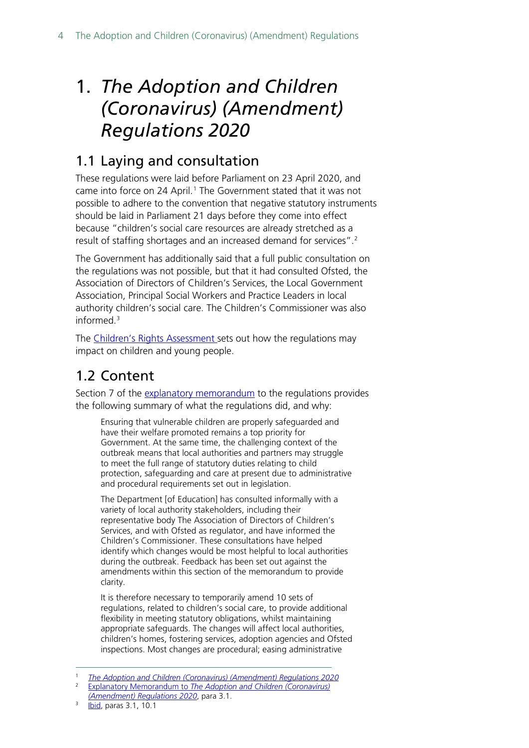# <span id="page-3-0"></span>1. *[The Adoption and Children](http://www.legislation.gov.uk/uksi/2020/445/contents/made)  [\(Coronavirus\) \(Amendment\)](http://www.legislation.gov.uk/uksi/2020/445/contents/made)  [Regulations 2020](http://www.legislation.gov.uk/uksi/2020/445/contents/made)*

## <span id="page-3-1"></span>1.1 Laying and consultation

These regulations were laid before Parliament on 23 April 2020, and came into force on 24 April.<sup>[1](#page-3-3)</sup> The Government stated that it was not possible to adhere to the convention that negative statutory instruments should be laid in Parliament 21 days before they come into effect because "children's social care resources are already stretched as a result of staffing shortages and an increased demand for services".[2](#page-3-4)

The Government has additionally said that a full public consultation on the regulations was not possible, but that it had consulted Ofsted, the Association of Directors of Children's Services, the Local Government Association, Principal Social Workers and Practice Leaders in local authority children's social care. The Children's Commissioner was also informed.[3](#page-3-5)

The [Children's Rights Assessment s](http://qna.files.parliament.uk/qna-attachments/1198272/original/52285_Child)ets out how the regulations may impact on children and young people.

## <span id="page-3-2"></span>1.2 Content

Section 7 of the [explanatory memorandum](http://www.legislation.gov.uk/uksi/2020/445/pdfs/uksiem_20200445_en.pdf) to the regulations provides the following summary of what the regulations did, and why:

Ensuring that vulnerable children are properly safeguarded and have their welfare promoted remains a top priority for Government. At the same time, the challenging context of the outbreak means that local authorities and partners may struggle to meet the full range of statutory duties relating to child protection, safeguarding and care at present due to administrative and procedural requirements set out in legislation.

The Department [of Education] has consulted informally with a variety of local authority stakeholders, including their representative body The Association of Directors of Children's Services, and with Ofsted as regulator, and have informed the Children's Commissioner. These consultations have helped identify which changes would be most helpful to local authorities during the outbreak. Feedback has been set out against the amendments within this section of the memorandum to provide clarity.

It is therefore necessary to temporarily amend 10 sets of regulations, related to children's social care, to provide additional flexibility in meeting statutory obligations, whilst maintaining appropriate safeguards. The changes will affect local authorities, children's homes, fostering services, adoption agencies and Ofsted inspections. Most changes are procedural; easing administrative

<span id="page-3-4"></span><span id="page-3-3"></span><sup>1</sup> *[The Adoption and Children \(Coronavirus\) \(Amendment\) Regulations 2020](http://www.legislation.gov.uk/uksi/2020/445/introduction/made)*

<sup>2</sup> Explanatory Memorandum to *[The Adoption and Children \(Coronavirus\)](http://www.legislation.gov.uk/uksi/2020/445/pdfs/uksiem_20200445_en.pdf)  [\(Amendment\) Regulations 2020](http://www.legislation.gov.uk/uksi/2020/445/pdfs/uksiem_20200445_en.pdf)*, para 3.1.

<span id="page-3-5"></span><sup>3</sup> [Ibid,](http://www.legislation.gov.uk/uksi/2020/445/pdfs/uksiem_20200445_en.pdf) paras 3.1, 10.1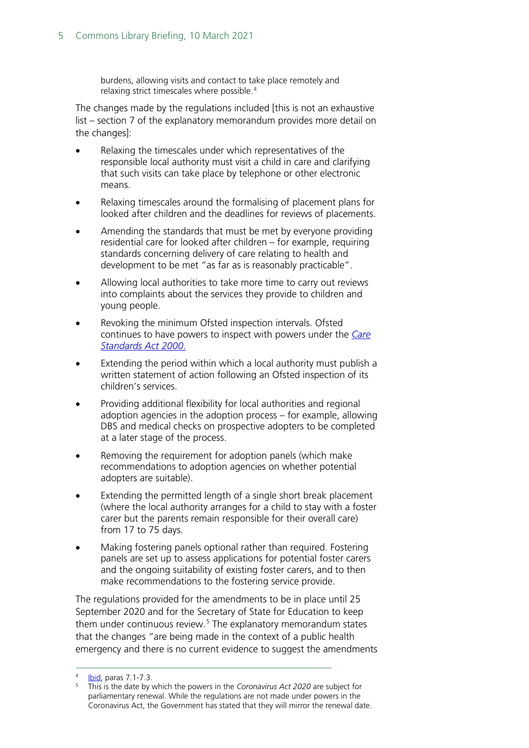burdens, allowing visits and contact to take place remotely and relaxing strict timescales where possible.<sup>[4](#page-4-0)</sup>

The changes made by the regulations included [this is not an exhaustive list – section 7 of the explanatory memorandum provides more detail on the changes]:

- Relaxing the timescales under which representatives of the responsible local authority must visit a child in care and clarifying that such visits can take place by telephone or other electronic means.
- Relaxing timescales around the formalising of placement plans for looked after children and the deadlines for reviews of placements.
- Amending the standards that must be met by everyone providing residential care for looked after children – for example, requiring standards concerning delivery of care relating to health and development to be met "as far as is reasonably practicable".
- Allowing local authorities to take more time to carry out reviews into complaints about the services they provide to children and young people.
- Revoking the minimum Ofsted inspection intervals. Ofsted continues to have powers to inspect with powers under the *[Care](https://www.legislation.gov.uk/ukpga/2000/14/contents)  [Standards Act 2000](https://www.legislation.gov.uk/ukpga/2000/14/contents)*.
- Extending the period within which a local authority must publish a written statement of action following an Ofsted inspection of its children's services.
- Providing additional flexibility for local authorities and regional adoption agencies in the adoption process – for example, allowing DBS and medical checks on prospective adopters to be completed at a later stage of the process.
- Removing the requirement for adoption panels (which make recommendations to adoption agencies on whether potential adopters are suitable).
- Extending the permitted length of a single short break placement (where the local authority arranges for a child to stay with a foster carer but the parents remain responsible for their overall care) from 17 to 75 days.
- Making fostering panels optional rather than required. Fostering panels are set up to assess applications for potential foster carers and the ongoing suitability of existing foster carers, and to then make recommendations to the fostering service provide.

The regulations provided for the amendments to be in place until 25 September 2020 and for the Secretary of State for Education to keep them under continuous review.<sup>[5](#page-4-1)</sup> The explanatory memorandum states that the changes "are being made in the context of a public health emergency and there is no current evidence to suggest the amendments

<span id="page-4-1"></span><span id="page-4-0"></span>

**<sup>1</sup>bid, paras 7.1-7.3.** Show this is the bowers in the *Coronavirus Act 2020* are subject for this is the date by which the powers in the *Coronavirus Act 2020* are subject for parliamentary renewal. While the regulations are not made under powers in the Coronavirus Act, the Government has stated that they will mirror the renewal date.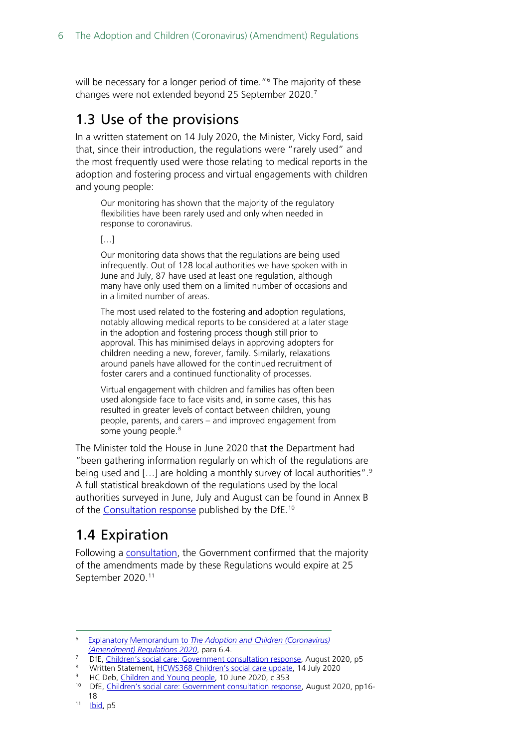will be necessary for a longer period of time."<sup>[6](#page-5-2)</sup> The majority of these changes were not extended beyond 25 September 2020.[7](#page-5-3)

### <span id="page-5-0"></span>1.3 Use of the provisions

In a written statement on 14 July 2020, the Minister, Vicky Ford, said that, since their introduction, the regulations were "rarely used" and the most frequently used were those relating to medical reports in the adoption and fostering process and virtual engagements with children and young people:

Our monitoring has shown that the majority of the regulatory flexibilities have been rarely used and only when needed in response to coronavirus.

#### $[...]$

Our monitoring data shows that the regulations are being used infrequently. Out of 128 local authorities we have spoken with in June and July, 87 have used at least one regulation, although many have only used them on a limited number of occasions and in a limited number of areas.

The most used related to the fostering and adoption regulations, notably allowing medical reports to be considered at a later stage in the adoption and fostering process though still prior to approval. This has minimised delays in approving adopters for children needing a new, forever, family. Similarly, relaxations around panels have allowed for the continued recruitment of foster carers and a continued functionality of processes.

Virtual engagement with children and families has often been used alongside face to face visits and, in some cases, this has resulted in greater levels of contact between children, young people, parents, and carers – and improved engagement from some young people.<sup>[8](#page-5-4)</sup>

The Minister told the House in June 2020 that the Department had "been gathering information regularly on which of the regulations are being used and […] are holding a monthly survey of local authorities".[9](#page-5-5) A full statistical breakdown of the regulations used by the local authorities surveyed in June, July and August can be found in Annex B of the [Consultation response](https://assets.publishing.service.gov.uk/government/uploads/system/uploads/attachment_data/file/913025/Children_s_social_care_consultation_response.pdf) published by the DfE.[10](#page-5-6)

### <span id="page-5-1"></span>1.4 Expiration

Following a [consultation,](https://www.gov.uk/government/consultations/changes-to-the-adoption-and-children-regulations-coronavirus-covid-19?utm_source=6e38927c-efd6-4c27-9967-800668398d1a&utm_medium=email&utm_campaign=govuk-notifications&utm_content=immediate) the Government confirmed that the majority of the amendments made by these Regulations would expire at 25 September 2020.<sup>[11](#page-5-7)</sup>

<span id="page-5-2"></span><sup>6</sup> Explanatory Memorandum to *[The Adoption and Children \(Coronavirus\)](http://www.legislation.gov.uk/uksi/2020/445/pdfs/uksiem_20200445_en.pdf)  [\(Amendment\) Regulations 2020](http://www.legislation.gov.uk/uksi/2020/445/pdfs/uksiem_20200445_en.pdf)*, para 6.4.

<span id="page-5-3"></span><sup>7</sup> DfE, [Children's social care: Government consultation response,](https://assets.publishing.service.gov.uk/government/uploads/system/uploads/attachment_data/file/913025/Children_s_social_care_consultation_response.pdf) August 2020, p5<br>8 Written Statement, HCWS268 Children's social care undate, 14 July 2020

<sup>8</sup> Written Statement[, HCWS368 Children's social care update,](https://www.parliament.uk/business/publications/written-questions-answers-statements/written-statement/Commons/2020-07-14/HCWS368/) 14 July 2020

<span id="page-5-5"></span><span id="page-5-4"></span>HC Deb[, Children and Young people,](https://hansard.parliament.uk/commons/2020-06-10/debates/5964F78B-8FEA-441B-A146-889607FBFA21/ChildrenAndYoungPersons) 10 June 2020, c 353

<span id="page-5-6"></span><sup>&</sup>lt;sup>10</sup> DfE[, Children's social care: Government consultation response,](https://assets.publishing.service.gov.uk/government/uploads/system/uploads/attachment_data/file/913025/Children_s_social_care_consultation_response.pdf) August 2020, pp16-18

<span id="page-5-7"></span> $11$  [Ibid,](https://assets.publishing.service.gov.uk/government/uploads/system/uploads/attachment_data/file/913025/Children_s_social_care_consultation_response.pdf) p5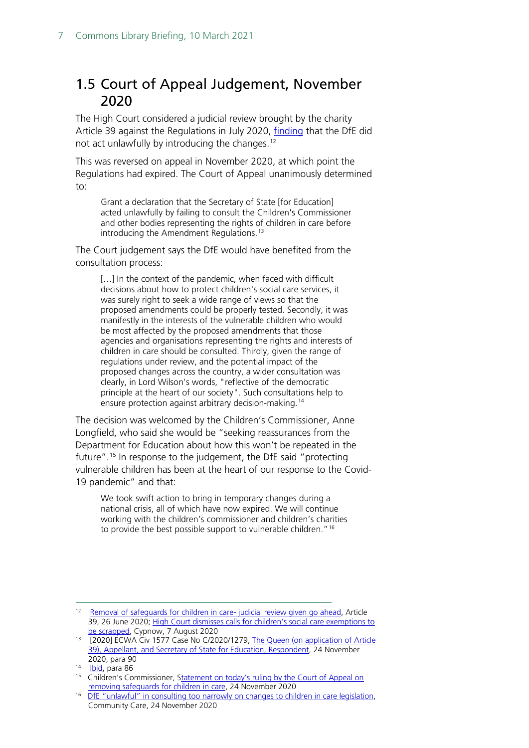### <span id="page-6-0"></span>1.5 Court of Appeal Judgement, November 2020

The High Court considered a judicial review brought by the charity Article 39 against the Regulations in July 2020, [finding](https://www.bailii.org/ew/cases/EWHC/Admin/2020/2184.html) that the DfE did not act unlawfully by introducing the changes.[12](#page-6-1)

This was reversed on appeal in November 2020, at which point the Regulations had expired. The Court of Appeal unanimously determined to:

Grant a declaration that the Secretary of State [for Education] acted unlawfully by failing to consult the Children's Commissioner and other bodies representing the rights of children in care before introducing the Amendment Regulations.<sup>[13](#page-6-2)</sup>

The Court judgement says the DfE would have benefited from the consultation process:

[...] In the context of the pandemic, when faced with difficult decisions about how to protect children's social care services, it was surely right to seek a wide range of views so that the proposed amendments could be properly tested. Secondly, it was manifestly in the interests of the vulnerable children who would be most affected by the proposed amendments that those agencies and organisations representing the rights and interests of children in care should be consulted. Thirdly, given the range of regulations under review, and the potential impact of the proposed changes across the country, a wider consultation was clearly, in Lord Wilson's words, "reflective of the democratic principle at the heart of our society". Such consultations help to ensure protection against arbitrary decision-making.[14](#page-6-3)

The decision was welcomed by the Children's Commissioner, Anne Longfield, who said she would be "seeking reassurances from the Department for Education about how this won't be repeated in the future". [15](#page-6-4) In response to the judgement, the DfE said "protecting vulnerable children has been at the heart of our response to the Covid-19 pandemic" and that:

We took swift action to bring in temporary changes during a national crisis, all of which have now expired. We will continue working with the children's commissioner and children's charities to provide the best possible support to vulnerable children."<sup>[16](#page-6-5)</sup>

<span id="page-6-1"></span><sup>&</sup>lt;sup>12</sup> [Removal of safeguards for children in care-](https://article39.org.uk/2020/06/26/removal-of-safeguards-for-children-in-care-judicial-review-given-go-ahead/) judicial review given go ahead, Article 39, 26 June 2020; High Court dismisses calls for children's social care exemptions to [be scrapped,](https://www.cypnow.co.uk/news/article/high-court-dismisses-calls-for-children-s-social-care-exemptions-to-be-scrapped) Cypnow, 7 August 2020

<span id="page-6-2"></span><sup>&</sup>lt;sup>13</sup> [2020] ECWA Civ 1577 Case No C/2020/1279, The Queen (on application of Article [39\), Appellant, and Secretary of State for Education, Respondent,](https://www.bailii.org/ew/cases/EWCA/Civ/2020/1577.html) 24 November 2020, para 90

<span id="page-6-3"></span><sup>&</sup>lt;sup>14</sup> [Ibid,](https://www.bailii.org/ew/cases/EWCA/Civ/2020/1577.html) para 86

<span id="page-6-4"></span><sup>&</sup>lt;sup>15</sup> Children's Commissioner, Statement on today's ruling by the Court of Appeal on [removing safeguards for children in care,](https://www.childrenscommissioner.gov.uk/2020/11/24/statement-on-todays-ruling-by-the-court-of-appeal-on-removing-safeguards-for-children-in-care/) 24 November 2020

<span id="page-6-5"></span><sup>&</sup>lt;sup>16</sup> [DfE "unlawful" in consulting too narrowly](https://www.communitycare.co.uk/2020/11/24/dfe-unlawful-consulting-narrowly-changes-children-care-legislation/) on changes to children in care legislation, Community Care, 24 November 2020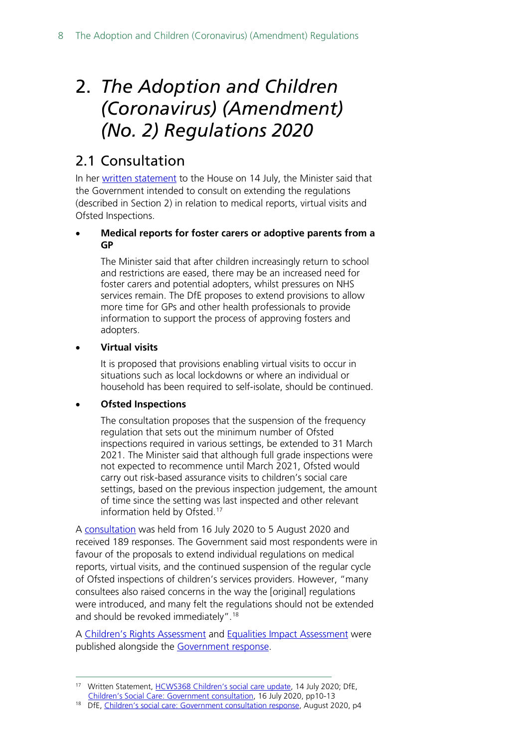# <span id="page-7-0"></span>2. *[The Adoption and](https://www.legislation.gov.uk/uksi/2020/909/contents/made) Children [\(Coronavirus\) \(Amendment\)](https://www.legislation.gov.uk/uksi/2020/909/contents/made)  [\(No. 2\) Regulations 2020](https://www.legislation.gov.uk/uksi/2020/909/contents/made)*

### <span id="page-7-1"></span>2.1 Consultation

In her [written statement](https://www.parliament.uk/business/publications/written-questions-answers-statements/written-statement/Commons/2020-07-14/HCWS368/) to the House on 14 July, the Minister said that the Government intended to consult on extending the regulations (described in Section 2) in relation to medical reports, virtual visits and Ofsted Inspections.

### • **Medical reports for foster carers or adoptive parents from a GP**

The Minister said that after children increasingly return to school and restrictions are eased, there may be an increased need for foster carers and potential adopters, whilst pressures on NHS services remain. The DfE proposes to extend provisions to allow more time for GPs and other health professionals to provide information to support the process of approving fosters and adopters.

### • **Virtual visits**

It is proposed that provisions enabling virtual visits to occur in situations such as local lockdowns or where an individual or household has been required to self-isolate, should be continued.

### • **Ofsted Inspections**

The consultation proposes that the suspension of the frequency regulation that sets out the minimum number of Ofsted inspections required in various settings, be extended to 31 March 2021. The Minister said that although full grade inspections were not expected to recommence until March 2021, Ofsted would carry out risk-based assurance visits to children's social care settings, based on the previous inspection judgement, the amount of time since the setting was last inspected and other relevant information held by Ofsted.<sup>[17](#page-7-2)</sup>

A [consultation](https://www.gov.uk/government/consultations/changes-to-the-adoption-and-children-regulations-coronavirus-covid-19?utm_source=6e38927c-efd6-4c27-9967-800668398d1a&utm_medium=email&utm_campaign=govuk-notifications&utm_content=immediate) was held from 16 July 2020 to 5 August 2020 and received 189 responses. The Government said most respondents were in favour of the proposals to extend individual regulations on medical reports, virtual visits, and the continued suspension of the regular cycle of Ofsted inspections of children's services providers. However, "many consultees also raised concerns in the way the [original] regulations were introduced, and many felt the regulations should not be extended and should be revoked immediately".[18](#page-7-3)

A [Children's Rights Assessment](https://assets.publishing.service.gov.uk/government/uploads/system/uploads/attachment_data/file/913234/Children_s_rights_impact_assessment.pdf) and [Equalities Impact Assessment](https://assets.publishing.service.gov.uk/government/uploads/system/uploads/attachment_data/file/913027/Equalities_impact_assessment.pdf) were published alongside the [Government response.](https://assets.publishing.service.gov.uk/government/uploads/system/uploads/attachment_data/file/913025/Children_s_social_care_consultation_response.pdf)

<span id="page-7-2"></span><sup>17</sup> Written Statement[, HCWS368 Children's social care update,](https://www.parliament.uk/business/publications/written-questions-answers-statements/written-statement/Commons/2020-07-14/HCWS368/) 14 July 2020; DfE, [Children's Social Care: Government consultation,](https://consult.education.gov.uk/children2019s-social-care-covid-19-co-ordination-unit/changes-to-the-adoption-and-children-regulations-c/supporting_documents/CSC%20consultation.pdf) 16 July 2020, pp10-13

<span id="page-7-3"></span><sup>&</sup>lt;sup>18</sup> DfE, [Children's social care: Government consultation response,](https://assets.publishing.service.gov.uk/government/uploads/system/uploads/attachment_data/file/913025/Children_s_social_care_consultation_response.pdf) August 2020, p4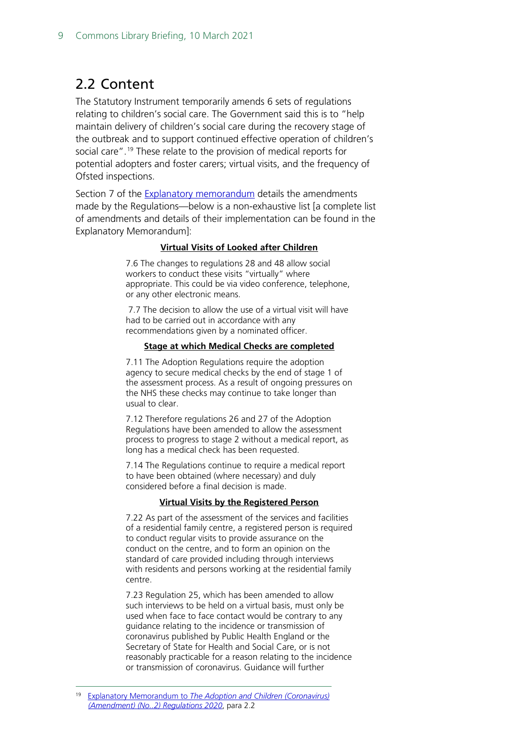### <span id="page-8-0"></span>2.2 Content

The Statutory Instrument temporarily amends 6 sets of regulations relating to children's social care. The Government said this is to "help maintain delivery of children's social care during the recovery stage of the outbreak and to support continued effective operation of children's social care".<sup>[19](#page-8-1)</sup> These relate to the provision of medical reports for potential adopters and foster carers; virtual visits, and the frequency of Ofsted inspections.

Section 7 of the [Explanatory memorandum](https://www.legislation.gov.uk/uksi/2020/909/pdfs/uksiem_20200909_en.pdf) details the amendments made by the Regulations—below is a non-exhaustive list [a complete list of amendments and details of their implementation can be found in the Explanatory Memorandum]:

#### **Virtual Visits of Looked after Children**

7.6 The changes to regulations 28 and 48 allow social workers to conduct these visits "virtually" where appropriate. This could be via video conference, telephone, or any other electronic means.

7.7 The decision to allow the use of a virtual visit will have had to be carried out in accordance with any recommendations given by a nominated officer.

#### **Stage at which Medical Checks are completed**

7.11 The Adoption Regulations require the adoption agency to secure medical checks by the end of stage 1 of the assessment process. As a result of ongoing pressures on the NHS these checks may continue to take longer than usual to clear.

7.12 Therefore regulations 26 and 27 of the Adoption Regulations have been amended to allow the assessment process to progress to stage 2 without a medical report, as long has a medical check has been requested.

7.14 The Regulations continue to require a medical report to have been obtained (where necessary) and duly considered before a final decision is made.

#### **Virtual Visits by the Registered Person**

7.22 As part of the assessment of the services and facilities of a residential family centre, a registered person is required to conduct regular visits to provide assurance on the conduct on the centre, and to form an opinion on the standard of care provided including through interviews with residents and persons working at the residential family centre.

7.23 Regulation 25, which has been amended to allow such interviews to be held on a virtual basis, must only be used when face to face contact would be contrary to any guidance relating to the incidence or transmission of coronavirus published by Public Health England or the Secretary of State for Health and Social Care, or is not reasonably practicable for a reason relating to the incidence or transmission of coronavirus. Guidance will further

<span id="page-8-1"></span><sup>19</sup> Explanatory Memorandum to *[The Adoption and Children \(Coronavirus\)](https://www.legislation.gov.uk/uksi/2020/909/pdfs/uksiem_20200909_en.pdf)  [\(Amendment\) \(No..2\) Regulations 2020](https://www.legislation.gov.uk/uksi/2020/909/pdfs/uksiem_20200909_en.pdf)*, para 2.2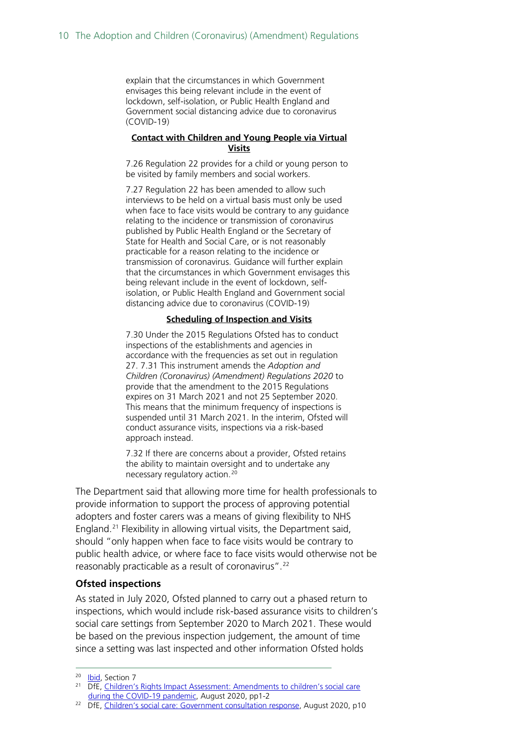explain that the circumstances in which Government envisages this being relevant include in the event of lockdown, self-isolation, or Public Health England and Government social distancing advice due to coronavirus (COVID-19)

#### **Contact with Children and Young People via Virtual Visits**

7.26 Regulation 22 provides for a child or young person to be visited by family members and social workers.

7.27 Regulation 22 has been amended to allow such interviews to be held on a virtual basis must only be used when face to face visits would be contrary to any guidance relating to the incidence or transmission of coronavirus published by Public Health England or the Secretary of State for Health and Social Care, or is not reasonably practicable for a reason relating to the incidence or transmission of coronavirus. Guidance will further explain that the circumstances in which Government envisages this being relevant include in the event of lockdown, selfisolation, or Public Health England and Government social distancing advice due to coronavirus (COVID-19)

#### **Scheduling of Inspection and Visits**

7.30 Under the 2015 Regulations Ofsted has to conduct inspections of the establishments and agencies in accordance with the frequencies as set out in regulation 27. 7.31 This instrument amends the *Adoption and Children (Coronavirus) (Amendment) Regulations 2020* to provide that the amendment to the 2015 Regulations expires on 31 March 2021 and not 25 September 2020. This means that the minimum frequency of inspections is suspended until 31 March 2021. In the interim, Ofsted will conduct assurance visits, inspections via a risk-based approach instead.

7.32 If there are concerns about a provider, Ofsted retains the ability to maintain oversight and to undertake any necessary regulatory action.[20](#page-9-0)

The Department said that allowing more time for health professionals to provide information to support the process of approving potential adopters and foster carers was a means of giving flexibility to NHS England.[21](#page-9-1) Flexibility in allowing virtual visits, the Department said, should "only happen when face to face visits would be contrary to public health advice, or where face to face visits would otherwise not be reasonably practicable as a result of coronavirus".<sup>[22](#page-9-2)</sup>

#### **Ofsted inspections**

As stated in July 2020, Ofsted planned to carry out a phased return to inspections, which would include risk-based assurance visits to children's social care settings from September 2020 to March 2021. These would be based on the previous inspection judgement, the amount of time since a setting was last inspected and other information Ofsted holds

<sup>&</sup>lt;sup>20</sup> [Ibid,](https://www.legislation.gov.uk/uksi/2020/909/pdfs/uksiem_20200909_en.pdf) Section 7

<span id="page-9-1"></span><span id="page-9-0"></span><sup>&</sup>lt;sup>21</sup> DfE, Children's Rights Impact Assessment: Amendments to children's social care [during the COVID-19 pandemic,](https://assets.publishing.service.gov.uk/government/uploads/system/uploads/attachment_data/file/913234/Children_s_rights_impact_assessment.pdf) August 2020, pp1-2

<span id="page-9-2"></span><sup>&</sup>lt;sup>22</sup> DfE, [Children's social care: Government consultation response,](https://assets.publishing.service.gov.uk/government/uploads/system/uploads/attachme%20nt_data/file/913025/Children_s_social_care_consultation_response.pdf) August 2020, p10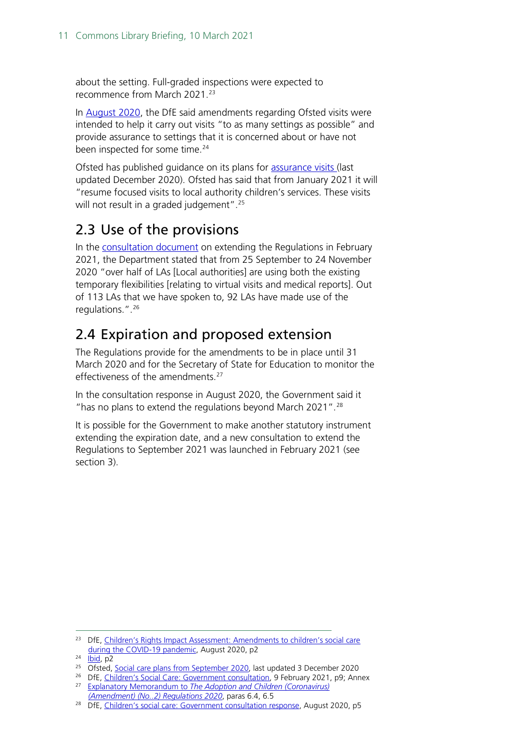about the setting. Full-graded inspections were expected to recommence from March 2021.[23](#page-10-2)

In [August 2020,](https://assets.publishing.service.gov.uk/government/uploads/system/uploads/attachment_data/file/913234/Children_s_rights_impact_assessment.pdf) the DfE said amendments regarding Ofsted visits were intended to help it carry out visits "to as many settings as possible" and provide assurance to settings that it is concerned about or have not been inspected for some time.<sup>[24](#page-10-3)</sup>

Ofsted has published quidance on its plans for [assurance visits](https://www.gov.uk/government/collections/social-care-common-inspection-framework-sccif) (last updated December 2020). Ofsted has said that from January 2021 it will "resume focused visits to local authority children's services. These visits will not result in a graded judgement".<sup>[25](#page-10-4)</sup>

## <span id="page-10-0"></span>2.3 Use of the provisions

In the [consultation document](https://consult.education.gov.uk/children2019s-home-team/adoption-and-children-coronavirus-amendment-regula/supporting_documents/CSC%20REGS%20consultation%209thFeb%202021.pdf) on extending the Regulations in February 2021, the Department stated that from 25 September to 24 November 2020 "over half of LAs [Local authorities] are using both the existing temporary flexibilities [relating to virtual visits and medical reports]. Out of 113 LAs that we have spoken to, 92 LAs have made use of the regulations.".[26](#page-10-5)

## <span id="page-10-1"></span>2.4 Expiration and proposed extension

The Regulations provide for the amendments to be in place until 31 March 2020 and for the Secretary of State for Education to monitor the effectiveness of the amendments.[27](#page-10-6)

In the consultation response in August 2020, the Government said it " has no plans to extend the regulations beyond March 2021".<sup>[28](#page-10-7)</sup>

It is possible for the Government to make another statutory instrument extending the expiration date, and a new consultation to extend the Regulations to September 2021 was launched in February 2021 (see section 3).

<span id="page-10-2"></span><sup>&</sup>lt;sup>23</sup> DfE, Children's Rights Impact Assessment: Amendments to children's social care [during the COVID-19 pandemic,](https://assets.publishing.service.gov.uk/government/uploads/system/uploads/attachment_data/file/913234/Children_s_rights_impact_assessment.pdf) August 2020, p2

<span id="page-10-3"></span> $24$  [Ibid,](https://assets.publishing.service.gov.uk/government/uploads/system/uploads/attachment_data/file/913234/Children_s_rights_impact_assessment.pdf) p2

<span id="page-10-4"></span><sup>&</sup>lt;sup>25</sup> Ofsted, [Social care plans from September 2020,](https://www.gov.uk/guidance/social-care-plans-from-september-2020) last updated 3 December 2020

<span id="page-10-6"></span><span id="page-10-5"></span><sup>&</sup>lt;sup>26</sup> DfE, [Children's Social Care: Government consultation,](https://consult.education.gov.uk/children2019s-home-team/adoption-and-children-coronavirus-amendment-regula/supporting_documents/CSC%20REGS%20consultation%209thFeb%202021.pdf) 9 February 2021, p9; Annex 27 Explanatory Memorandum to *[The Adoption and Children \(Coronavirus\)](https://www.legislation.gov.uk/uksi/2020/909/pdfs/uksiem_20200909_en.pdf)  [\(Amendment\) \(No..2\) Regulations 2020](https://www.legislation.gov.uk/uksi/2020/909/pdfs/uksiem_20200909_en.pdf)*, paras 6.4, 6.5

<span id="page-10-7"></span><sup>&</sup>lt;sup>28</sup> DfE, [Children's social care: Government consultation response,](https://assets.publishing.service.gov.uk/government/uploads/system/uploads/attachment_data/file/913025/Children_s_social_care_consultation_response.pdf) August 2020, p5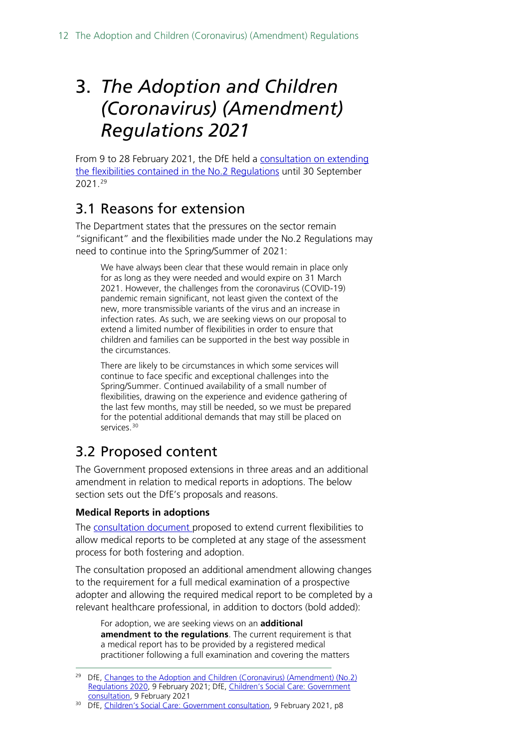# <span id="page-11-0"></span>3. *The Adoption and Children (Coronavirus) (Amendment) Regulations 2021*

From 9 to 28 February 2021, the DfE held a [consultation on extending](https://consult.education.gov.uk/children2019s-home-team/adoption-and-children-coronavirus-amendment-regula/)  [the flexibilities contained in the No.2 Regulations](https://consult.education.gov.uk/children2019s-home-team/adoption-and-children-coronavirus-amendment-regula/) until 30 September 2021.[29](#page-11-3)

## <span id="page-11-1"></span>3.1 Reasons for extension

The Department states that the pressures on the sector remain "significant" and the flexibilities made under the No.2 Regulations may need to continue into the Spring/Summer of 2021:

We have always been clear that these would remain in place only for as long as they were needed and would expire on 31 March 2021. However, the challenges from the coronavirus (COVID-19) pandemic remain significant, not least given the context of the new, more transmissible variants of the virus and an increase in infection rates. As such, we are seeking views on our proposal to extend a limited number of flexibilities in order to ensure that children and families can be supported in the best way possible in the circumstances.

There are likely to be circumstances in which some services will continue to face specific and exceptional challenges into the Spring/Summer. Continued availability of a small number of flexibilities, drawing on the experience and evidence gathering of the last few months, may still be needed, so we must be prepared for the potential additional demands that may still be placed on services.<sup>[30](#page-11-4)</sup>

## <span id="page-11-2"></span>3.2 Proposed content

The Government proposed extensions in three areas and an additional amendment in relation to medical reports in adoptions. The below section sets out the DfE's proposals and reasons.

### **Medical Reports in adoptions**

The [consultation document p](https://consult.education.gov.uk/children2019s-home-team/adoption-and-children-coronavirus-amendment-regula/supporting_documents/CSC%20REGS%20consultation%209thFeb%202021.pdf)roposed to extend current flexibilities to allow medical reports to be completed at any stage of the assessment process for both fostering and adoption.

The consultation proposed an additional amendment allowing changes to the requirement for a full medical examination of a prospective adopter and allowing the required medical report to be completed by a relevant healthcare professional, in addition to doctors (bold added):

For adoption, we are seeking views on an **additional amendment to the regulations**. The current requirement is that a medical report has to be provided by a registered medical practitioner following a full examination and covering the matters

<span id="page-11-3"></span><sup>&</sup>lt;sup>29</sup> DfE, Changes to the Adoption and Children (Coronavirus) (Amendment) (No.2) [Regulations 2020,](https://www.gov.uk/government/consultations/changes-to-the-adoption-and-children-coronavirus-amendment-no-2-regulations-2020) 9 February 2021; DfE, [Children's Social Care: Government](https://consult.education.gov.uk/children2019s-home-team/adoption-and-children-coronavirus-amendment-regula/supporting_documents/CSC%20REGS%20consultation%209thFeb%202021.pdf)  [consultation,](https://consult.education.gov.uk/children2019s-home-team/adoption-and-children-coronavirus-amendment-regula/supporting_documents/CSC%20REGS%20consultation%209thFeb%202021.pdf) 9 February 2021

<span id="page-11-4"></span><sup>&</sup>lt;sup>30</sup> DfE, [Children's Social Care: Government consultation,](https://consult.education.gov.uk/children2019s-home-team/adoption-and-children-coronavirus-amendment-regula/supporting_documents/CSC%20REGS%20consultation%209thFeb%202021.pdf) 9 February 2021, p8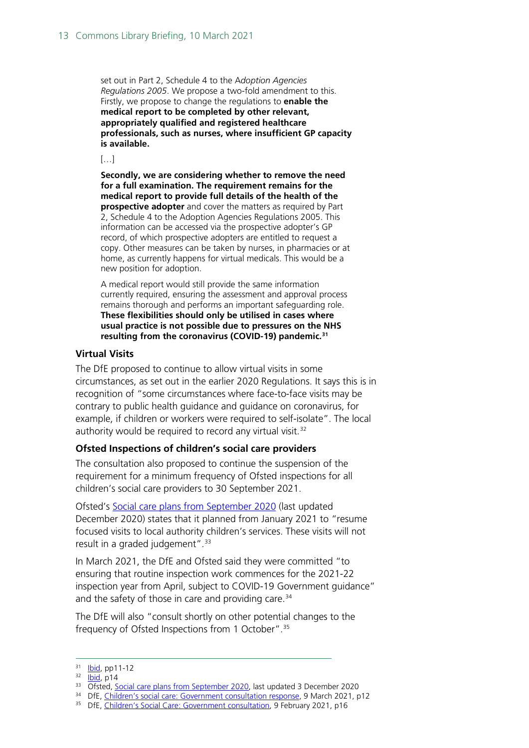set out in Part 2, Schedule 4 to the A*doption Agencies Regulations 2005*. We propose a two-fold amendment to this. Firstly, we propose to change the regulations to **enable the medical report to be completed by other relevant, appropriately qualified and registered healthcare professionals, such as nurses, where insufficient GP capacity is available.**

 $[...]$ 

**Secondly, we are considering whether to remove the need for a full examination. The requirement remains for the medical report to provide full details of the health of the prospective adopter** and cover the matters as required by Part 2, Schedule 4 to the Adoption Agencies Regulations 2005. This information can be accessed via the prospective adopter's GP record, of which prospective adopters are entitled to request a copy. Other measures can be taken by nurses, in pharmacies or at home, as currently happens for virtual medicals. This would be a new position for adoption.

A medical report would still provide the same information currently required, ensuring the assessment and approval process remains thorough and performs an important safeguarding role. **These flexibilities should only be utilised in cases where usual practice is not possible due to pressures on the NHS resulting from the coronavirus (COVID-19) pandemic.[31](#page-12-0)**

#### **Virtual Visits**

The DfE proposed to continue to allow virtual visits in some circumstances, as set out in the earlier 2020 Regulations. It says this is in recognition of "some circumstances where face-to-face visits may be contrary to public health guidance and guidance on coronavirus, for example, if children or workers were required to self-isolate". The local authority would be required to record any virtual visit.<sup>[32](#page-12-1)</sup>

### **Ofsted Inspections of children's social care providers**

The consultation also proposed to continue the suspension of the requirement for a minimum frequency of Ofsted inspections for all children's social care providers to 30 September 2021.

Ofsted's [Social care plans from September 2020](https://www.gov.uk/guidance/social-care-plans-from-september-2020) (last updated December 2020) states that it planned from January 2021 to "resume focused visits to local authority children's services. These visits will not result in a graded judgement".  $33$ 

In March 2021, the DfE and Ofsted said they were committed "to ensuring that routine inspection work commences for the 2021-22 inspection year from April, subject to COVID-19 Government guidance" and the safety of those in care and providing care. [34](#page-12-3)

The DfE will also "consult shortly on other potential changes to the frequency of Ofsted Inspections from 1 October".[35](#page-12-4)

<span id="page-12-0"></span><sup>31</sup> **Ibid**, pp11-12

<span id="page-12-1"></span> $32$   $\overline{lbid}$ , p14

<span id="page-12-2"></span><sup>&</sup>lt;sup>33</sup> Ofsted, [Social care plans from September 2020,](https://www.gov.uk/guidance/social-care-plans-from-september-2020) last updated 3 December 2020

<span id="page-12-3"></span><sup>&</sup>lt;sup>34</sup> DfE, [Children's social care: Government consultation response,](https://assets.publishing.service.gov.uk/government/uploads/system/uploads/attachment_data/file/967663/Children_s_Social_Care_-_government_consultation_response.pdf) 9 March 2021, p12

<span id="page-12-4"></span><sup>&</sup>lt;sup>35</sup> DfE, [Children's Social Care: Government consultation,](https://consult.education.gov.uk/children2019s-home-team/adoption-and-children-coronavirus-amendment-regula/supporting_documents/CSC%20REGS%20consultation%209thFeb%202021.pdf) 9 February 2021, p16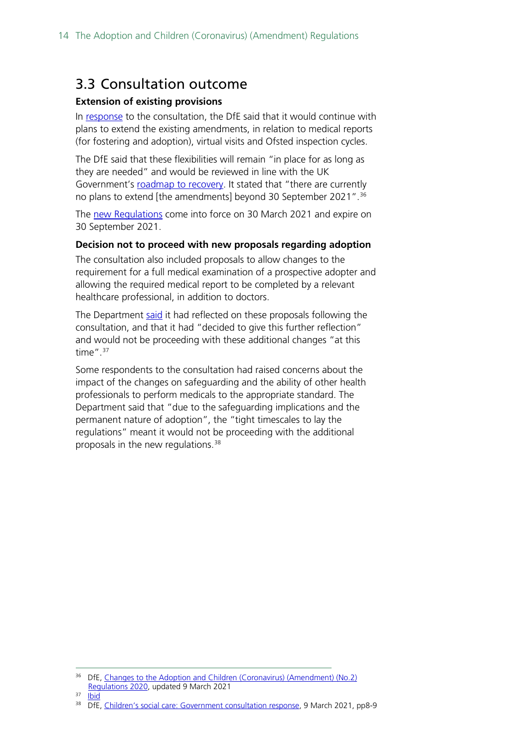### <span id="page-13-0"></span>3.3 Consultation outcome

### **Extension of existing provisions**

In [response](https://consult.education.gov.uk/children2019s-home-team/adoption-and-children-coronavirus-amendment-regula/supporting_documents/CSC%20REGS%20consultation%209thFeb%202021.pdf) to the consultation, the DfE said that it would continue with plans to extend the existing amendments, in relation to medical reports (for fostering and adoption), virtual visits and Ofsted inspection cycles.

The DfE said that these flexibilities will remain "in place for as long as they are needed" and would be reviewed in line with the UK Government's [roadmap to recovery.](https://www.gov.uk/government/publications/covid-19-response-spring-2021) It stated that "there are currently no plans to extend [the amendments] beyond 30 September 2021". [36](#page-13-1)

The [new Regulations](https://www.legislation.gov.uk/uksi/2021/261/contents/made) come into force on 30 March 2021 and expire on 30 September 2021.

### **Decision not to proceed with new proposals regarding adoption**

The consultation also included proposals to allow changes to the requirement for a full medical examination of a prospective adopter and allowing the required medical report to be completed by a relevant healthcare professional, in addition to doctors.

The Department [said](https://consult.education.gov.uk/children2019s-home-team/adoption-and-children-coronavirus-amendment-regula/supporting_documents/CSC%20REGS%20consultation%209thFeb%202021.pdf) it had reflected on these proposals following the consultation, and that it had "decided to give this further reflection" and would not be proceeding with these additional changes "at this time". $37$ 

Some respondents to the consultation had raised concerns about the impact of the changes on safeguarding and the ability of other health professionals to perform medicals to the appropriate standard. The Department said that "due to the safeguarding implications and the permanent nature of adoption", the "tight timescales to lay the regulations" meant it would not be proceeding with the additional proposals in the new regulations.<sup>38</sup>

<sup>&</sup>lt;sup>36</sup> DfE, [Changes to the Adoption and Children \(Coronavirus\)](https://consult.education.gov.uk/children2019s-home-team/adoption-and-children-coronavirus-amendment-regula/supporting_documents/CSC%20REGS%20consultation%209thFeb%202021.pdf) (Amendment) (No.2)

<span id="page-13-1"></span>[Regulations 2020,](https://consult.education.gov.uk/children2019s-home-team/adoption-and-children-coronavirus-amendment-regula/supporting_documents/CSC%20REGS%20consultation%209thFeb%202021.pdf) updated 9 March 2021<br><sup>37</sup> [Ibid](https://consult.education.gov.uk/children2019s-home-team/adoption-and-children-coronavirus-amendment-regula/supporting_documents/CSC%20REGS%20consultation%209thFeb%202021.pdf)

<span id="page-13-3"></span><span id="page-13-2"></span><sup>&</sup>lt;sup>38</sup> DfE, [Children's social care: Government consultation response,](https://assets.publishing.service.gov.uk/government/uploads/system/uploads/attachment_data/file/967663/Children_s_Social_Care_-_government_consultation_response.pdf) 9 March 2021, pp8-9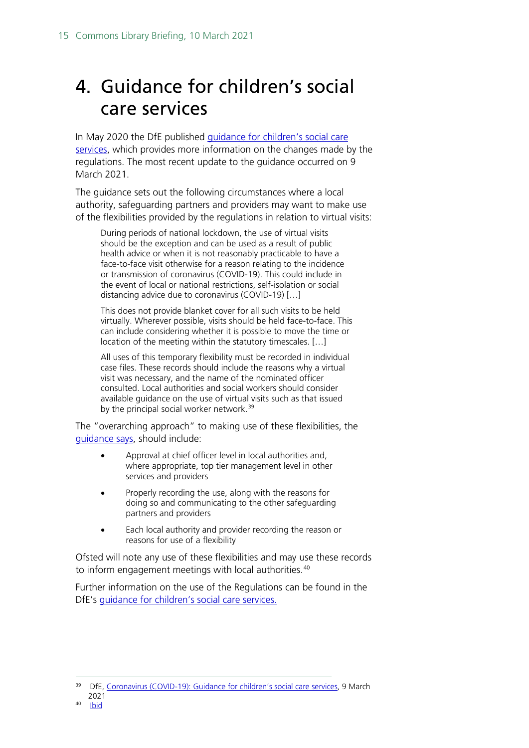# <span id="page-14-0"></span>4. Guidance for children's social care services

In May 2020 the DfE published [guidance for children's social care](https://www.gov.uk/government/publications/coronavirus-covid-19-guidance-for-childrens-social-care-services/coronavirus-covid-19-guidance-for-local-authorities-on-childrens-social-care)  [services,](https://www.gov.uk/government/publications/coronavirus-covid-19-guidance-for-childrens-social-care-services/coronavirus-covid-19-guidance-for-local-authorities-on-childrens-social-care) which provides more information on the changes made by the regulations. The most recent update to the guidance occurred on 9 March 2021.

The guidance sets out the following circumstances where a local authority, safeguarding partners and providers may want to make use of the flexibilities provided by the regulations in relation to virtual visits:

During periods of [national lockdown,](https://www.gov.uk/guidance/national-lockdown-stay-at-home) the use of virtual visits should be the exception and can be used as a result of public health advice or when it is not reasonably practicable to have a face-to-face visit otherwise for a reason relating to the incidence or transmission of coronavirus (COVID-19). This could include in the event of local or national restrictions, self-isolation or social distancing advice due to coronavirus (COVID-19) […]

This does not provide blanket cover for all such visits to be held virtually. Wherever possible, visits should be held face-to-face. This can include considering whether it is possible to move the time or location of the meeting within the statutory timescales. […]

All uses of this temporary flexibility must be recorded in individual case files. These records should include the reasons why a virtual visit was necessary, and the name of the nominated officer consulted. Local authorities and social workers should consider available guidance on the use of virtual visits such as that issued by the principal social worker network.<sup>[39](#page-14-1)</sup>

The "overarching approach" to making use of these flexibilities, the [guidance says,](https://www.gov.uk/government/publications/coronavirus-covid-19-guidance-for-childrens-social-care-services/coronavirus-covid-19-guidance-for-local-authorities-on-childrens-social-care) should include:

- Approval at chief officer level in local authorities and, where appropriate, top tier management level in other services and providers
- Properly recording the use, along with the reasons for doing so and communicating to the other safeguarding partners and providers
- Each local authority and provider recording the reason or reasons for use of a flexibility

Ofsted will note any use of these flexibilities and may use these records to inform engagement meetings with local authorities. [40](#page-14-2)

Further information on the use of the Regulations can be found in the DfE's [guidance for children's social care services.](https://www.gov.uk/government/publications/coronavirus-covid-19-guidance-for-childrens-social-care-services/coronavirus-covid-19-guidance-for-local-authorities-on-childrens-social-care)

<span id="page-14-2"></span><span id="page-14-1"></span><sup>&</sup>lt;sup>39</sup> DfE[, Coronavirus \(COVID-19\): Guidance for children's social care services,](https://www.gov.uk/government/publications/coronavirus-covid-19-guidance-for-childrens-social-care-services/coronavirus-covid-19-guidance-for-local-authorities-on-childrens-social-care) 9 March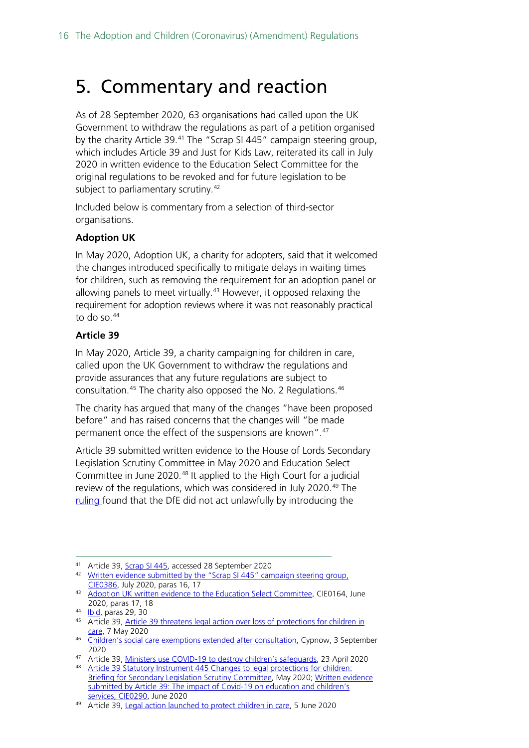## <span id="page-15-0"></span>5. Commentary and reaction

As of 28 September 2020, 63 organisations had called upon the UK Government to withdraw the regulations as part of a petition organised by the charity Article 39.<sup>[41](#page-15-1)</sup> The "Scrap SI 445" campaign steering group, which includes Article 39 and Just for Kids Law, reiterated its call in July 2020 in written evidence to the Education Select Committee for the original regulations to be revoked and for future legislation to be subject to parliamentary scrutiny.<sup>[42](#page-15-2)</sup>

Included below is commentary from a selection of third-sector organisations.

### **Adoption UK**

In May 2020, Adoption UK, a charity for adopters, said that it welcomed the changes introduced specifically to mitigate delays in waiting times for children, such as removing the requirement for an adoption panel or allowing panels to meet virtually.<sup>[43](#page-15-3)</sup> However, it opposed relaxing the requirement for adoption reviews where it was not reasonably practical to do so. $44$ 

### **Article 39**

In May 2020, Article 39, a charity campaigning for children in care, called upon the UK Government to withdraw the regulations and provide assurances that any future regulations are subject to consultation.[45](#page-15-5) The charity also opposed the No. 2 Regulations.[46](#page-15-6)

The charity has argued that many of the changes "have been proposed before" and has raised concerns that the changes will "be made permanent once the effect of the suspensions are known".[47](#page-15-7)

Article 39 submitted written evidence to the House of Lords Secondary Legislation Scrutiny Committee in May 2020 and Education Select Committee in June 2020.[48](#page-15-8) It applied to the High Court for a judicial review of the regulations, which was considered in July 2020.<sup>[49](#page-15-9)</sup> The [ruling f](https://www.bailii.org/ew/cases/EWHC/Admin/2020/2184.html)ound that the DfE did not act unlawfully by introducing the

<span id="page-15-2"></span><span id="page-15-1"></span><sup>41</sup> Article 39[, Scrap SI 445,](https://article39.org.uk/scrapsi445/) accessed 28 September 2020<br><sup>42</sup> Written evidence submitted by the "Scrap SI 445" campaign steering group, [CIE0386,](https://committees.parliament.uk/writtenevidence/9080/html/) July 2020, paras 16, 17

<span id="page-15-3"></span><sup>43</sup> [Adoption UK written evidence to the Education Select Committee,](https://committees.parliament.uk/writtenevidence/5949/html/) CIE0164, June 2020, paras 17, 18

<sup>44</sup> **Ibid**, paras 29, 30

<span id="page-15-5"></span><span id="page-15-4"></span><sup>45</sup> Article 39[, Article 39 threatens legal action over loss of protections](https://article39.org.uk/2020/05/07/article-39-threatens-legal-action-over-loss-of-legal-protections-for-children-in-care/) for children in [care,](https://article39.org.uk/2020/05/07/article-39-threatens-legal-action-over-loss-of-legal-protections-for-children-in-care/) 7 May 2020

<span id="page-15-6"></span><sup>46</sup> [Children's social care exemptions extended after consultation,](https://www.cypnow.co.uk/news/article/children-s-social-care-exemptions-extended-after-consultation) Cypnow, 3 September 2020

<sup>47</sup> Article 39[, Ministers use COVID-19 to destroy children's safeguards,](https://article39.org.uk/2020/04/23/ministers-use-covid-19-to-destroy-childrens-safeguards/) 23 April 2020

<span id="page-15-8"></span><span id="page-15-7"></span><sup>48</sup> Article 39 Statutory Instrument 445 Changes to legal protections for children: [Briefing for Secondary Legislation Scrutiny Committee,](https://committees.parliament.uk/publications/984/documents/7973/default/) May 2020; [Written evidence](https://committees.parliament.uk/writtenevidence/7971/html/)  [submitted by Article 39: The impact of Covid-19 on education and children's](https://committees.parliament.uk/writtenevidence/7971/html/)  [services, CIE0290,](https://committees.parliament.uk/writtenevidence/7971/html/) June 2020

<span id="page-15-9"></span><sup>49</sup> Article 39[, Legal action launched to protect children in care,](https://article39.org.uk/2020/06/05/legal-action-launched-to-protect-children-in-care/) 5 June 2020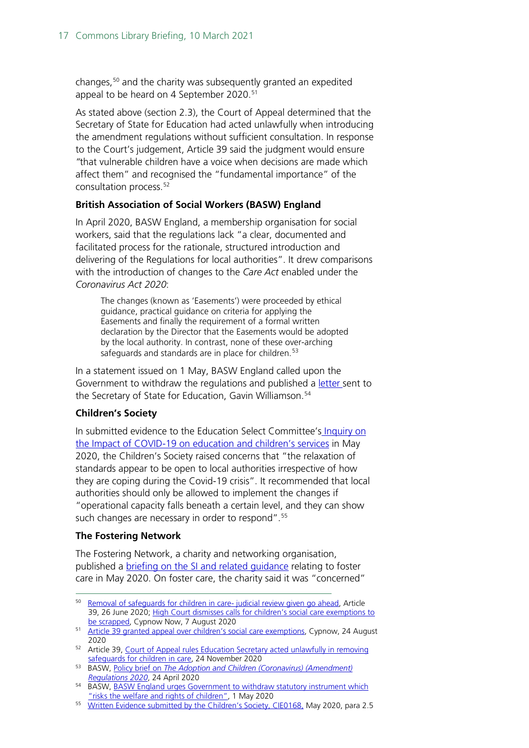changes,[50](#page-16-0) and the charity was subsequently granted an expedited appeal to be heard on 4 September 2020.<sup>[51](#page-16-1)</sup>

As stated above (section 2.3), the Court of Appeal determined that the Secretary of State for Education had acted unlawfully when introducing the amendment regulations without sufficient consultation. In response to the Court's judgement, Article 39 said the judgment would ensure *"*that vulnerable children have a voice when decisions are made which affect them" and recognised the "fundamental importance" of the consultation process. [52](#page-16-2)

### **British Association of Social Workers (BASW) England**

In April 2020, BASW England, a membership organisation for social workers, said that the regulations lack "a clear, documented and facilitated process for the rationale, structured introduction and delivering of the Regulations for local authorities". It drew comparisons with the introduction of changes to the *Care Act* enabled under the *Coronavirus Act 2020*:

The changes (known as 'Easements') were proceeded by ethical guidance, practical guidance on criteria for applying the Easements and finally the requirement of a formal written declaration by the Director that the Easements would be adopted by the local authority. In contrast, none of these over-arching safeguards and standards are in place for children.<sup>[53](#page-16-3)</sup>

In a statement issued on 1 May, BASW England called upon the Government to withdraw the regulations and published a [letter s](https://www.basw.co.uk/system/files/resources/Gavin%20Williamson%20letter%20re%20adoption%20and%20children%20regs%2028%20April%202020%20.pdf)ent to the Secretary of State for Education, Gavin Williamson.<sup>[54](#page-16-4)</sup>

### **Children's Society**

In submitted evidence to the Education Select Committee's [Inquiry on](https://committees.parliament.uk/work/202/the-impact-of-covid19-on-education-and-childrens-services/publications/)  [the Impact of COVID-19 on education and children's services](https://committees.parliament.uk/work/202/the-impact-of-covid19-on-education-and-childrens-services/publications/) in May 2020, the Children's Society raised concerns that "the relaxation of standards appear to be open to local authorities irrespective of how they are coping during the Covid-19 crisis". It recommended that local authorities should only be allowed to implement the changes if "operational capacity falls beneath a certain level, and they can show such changes are necessary in order to respond".<sup>[55](#page-16-5)</sup>

### **The Fostering Network**

The Fostering Network, a charity and networking organisation, published a [briefing on the SI and related guidance](https://www.thefosteringnetwork.org.uk/sites/www.fostering.net/files/content/briefingontheadoptionandchildrenscoronavirusamendmentsregulations2020andrelatedguidance20052020.pdf) relating to foster care in May 2020. On foster care, the charity said it was "concerned"

<span id="page-16-0"></span><sup>50</sup> Removal of safequards for children in care- judicial review given go ahead, Article 39, 26 June 2020; [High Court dismisses calls for children's social care exemptions to](https://www.cypnow.co.uk/news/article/high-court-dismisses-calls-for-children-s-social-care-exemptions-to-be-scrapped)  [be scrapped,](https://www.cypnow.co.uk/news/article/high-court-dismisses-calls-for-children-s-social-care-exemptions-to-be-scrapped) Cypnow Now, 7 August 2020

<span id="page-16-1"></span><sup>51</sup> [Article 39 granted appeal over children's social care exemptions,](https://www.cypnow.co.uk/news/article/article-39-granted-appeal-over-children-s-social-care-exemptions) Cypnow, 24 August 2020

<span id="page-16-2"></span><sup>&</sup>lt;sup>52</sup> Article 39, Court of Appeal rules Education Secretary acted unlawfully in removing [safeguards for children in care,](https://article39.org.uk/2020/11/24/court-of-appeal-rules-education-secretary-acted-unlawfully-in-removing-safeguards-for-children-in-care/) 24 November 2020

<span id="page-16-3"></span><sup>53</sup> BASW, Policy brief on *[The Adoption and Children \(Coronavirus\) \(Amendment\)](https://www.basw.co.uk/media/news/2020/apr/basw-policy-brief-adoption-and-children-coronavirus-amendment-regulations-2020)  [Regulations 2020](https://www.basw.co.uk/media/news/2020/apr/basw-policy-brief-adoption-and-children-coronavirus-amendment-regulations-2020)*, 24 April 2020

<span id="page-16-4"></span><sup>54</sup> BASW, BASW England urges Government to withdraw statutory instrument which ["risks the welfare and rights of children",](https://www.basw.co.uk/media/news/2020/may/basw-england-urges-government-withdraw-statutory-instrument-which-%E2%80%98risks-welfare) 1 May 2020

<span id="page-16-5"></span><sup>&</sup>lt;sup>55</sup> [Written Evidence submitted by the Children's Society, CIE0168,](https://committees.parliament.uk/writtenevidence/5967/pdf/) May 2020, para 2.5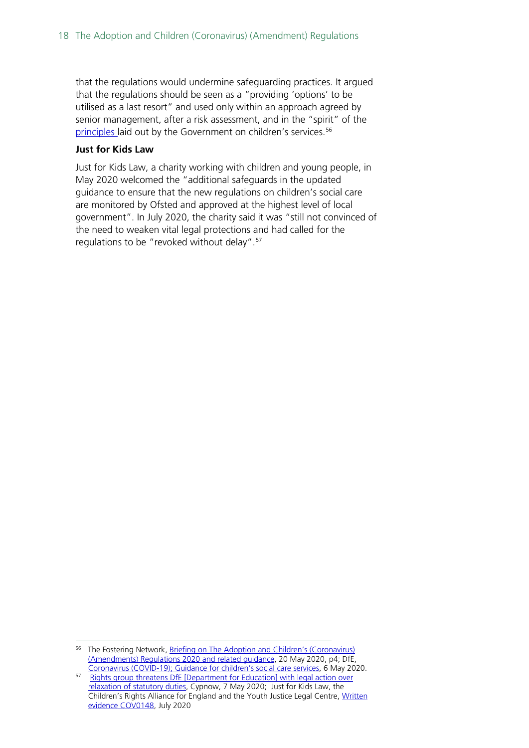that the regulations would undermine safeguarding practices. It argued that the regulations should be seen as a "providing 'options' to be utilised as a last resort" and used only within an approach agreed by senior management, after a risk assessment, and in the "spirit" of the [principles l](https://www.gov.uk/government/publications/coronavirus-covid-19-guidance-for-childrens-social-care-services/coronavirus-covid-19-guidance-for-local-authorities-on-childrens-social-care#principles)aid out by the Government on children's services.<sup>[56](#page-17-0)</sup>

#### **Just for Kids Law**

Just for Kids Law, a charity working with children and young people, in May 2020 welcomed the "additional safeguards in the updated guidance to ensure that the new regulations on children's social care are monitored by Ofsted and approved at the highest level of local government". In July 2020, the charity said it was "still not convinced of the need to weaken vital legal protections and had called for the regulations to be "revoked without delay".<sup>[57](#page-17-1)</sup>

<span id="page-17-0"></span><sup>&</sup>lt;sup>56</sup> The Fostering Network, Briefing on The Adoption and Children's (Coronavirus) [\(Amendments\) Regulations 2020 and related guidance,](https://www.thefosteringnetwork.org.uk/sites/www.fostering.net/files/content/briefingontheadoptionandchildrenscoronavirusamendmentsregulations2020andrelatedguidance20052020.pdf) 20 May 2020, p4; DfE,

<span id="page-17-1"></span><sup>&</sup>lt;sup>57</sup> [Rights group threatens DfE \[Department for Education\] with](https://www.cypnow.co.uk/news/article/rights-group-threatens-dfe-with-legal-action-over-relaxation-of-statutory-duties) legal action over [relaxation of statutory duties,](https://www.cypnow.co.uk/news/article/rights-group-threatens-dfe-with-legal-action-over-relaxation-of-statutory-duties) Cypnow, 7 May 2020; Just for Kids Law, the Children's Rights Alliance for England and the Youth Justice Legal Centre, [Written](https://committees.parliament.uk/writtenevidence/8353/html)  [evidence COV0148,](https://committees.parliament.uk/writtenevidence/8353/html) July 2020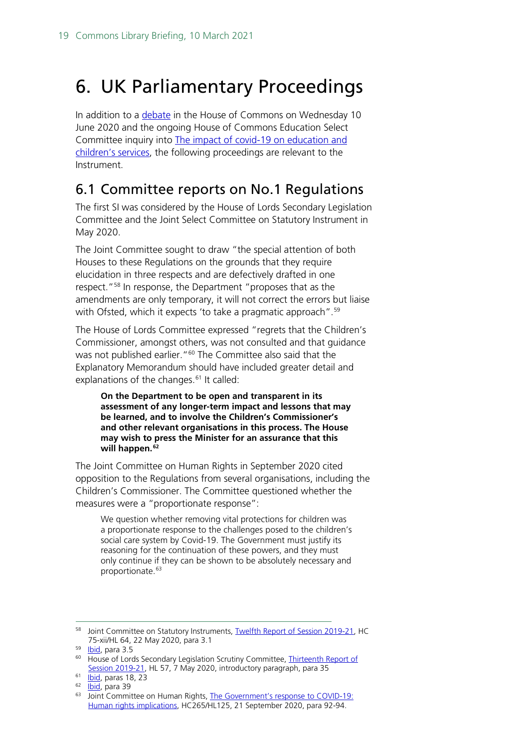# <span id="page-18-0"></span>6. UK Parliamentary Proceedings

In addition to a [debate](https://hansard.parliament.uk/commons/2020-06-10/debates/5964F78B-8FEA-441B-A146-889607FBFA21/ChildrenAndYoungPersons) in the House of Commons on Wednesday 10 June 2020 and the ongoing House of Commons Education Select Committee inquiry into The impact of covid-19 on education and [children's services,](https://committees.parliament.uk/work/202/the-impact-of-covid19-on-education-and-childrens-services/) the following proceedings are relevant to the Instrument.

### <span id="page-18-1"></span>6.1 Committee reports on No.1 Regulations

The first SI was considered by the House of Lords Secondary Legislation Committee and the Joint Select Committee on Statutory Instrument in May 2020.

The Joint Committee sought to draw "the special attention of both Houses to these Regulations on the grounds that they require elucidation in three respects and are defectively drafted in one respect.["58](#page-18-2) In response, the Department "proposes that as the amendments are only temporary, it will not correct the errors but liaise with Ofsted, which it expects 'to take a pragmatic approach". [59](#page-18-3)

The House of Lords Committee expressed "regrets that the Children's Commissioner, amongst others, was not consulted and that guidance was not published earlier."<sup>[60](#page-18-4)</sup> The Committee also said that the Explanatory Memorandum should have included greater detail and explanations of the changes.<sup>[61](#page-18-5)</sup> It called:

**On the Department to be open and transparent in its assessment of any longer-term impact and lessons that may be learned, and to involve the Children's Commissioner's and other relevant organisations in this process. The House may wish to press the Minister for an assurance that this will happen.[62](#page-18-6)**

The Joint Committee on Human Rights in September 2020 cited opposition to the Regulations from several organisations, including the Children's Commissioner. The Committee questioned whether the measures were a "proportionate response":

We question whether removing vital protections for children was a proportionate response to the challenges posed to the children's social care system by Covid-19. The Government must justify its reasoning for the continuation of these powers, and they must only continue if they can be shown to be absolutely necessary and proportionate.<sup>[63](#page-18-7)</sup>

<span id="page-18-2"></span><sup>58</sup> Joint Committee on Statutory Instruments[, Twelfth Report of Session 2019-21,](https://publications.parliament.uk/pa/jt5801/jtselect/jtstatin/64/6403.htm#_idTextAnchor005) HC 75-xii/HL 64, 22 May 2020, para 3.1

<span id="page-18-3"></span><sup>59</sup> [Ibid,](https://publications.parliament.uk/pa/jt5801/jtselect/jtstatin/64/6403.htm#_idTextAnchor005) para 3.5

<span id="page-18-4"></span><sup>&</sup>lt;sup>60</sup> House of Lords Secondary Legislation Scrutiny Committee, Thirteenth Report of [Session 2019-21,](https://publications.parliament.uk/pa/ld5801/ldselect/ldsecleg/57/5704.htm) HL 57, 7 May 2020, introductory paragraph, para 35

<span id="page-18-5"></span> $61$  <u>Ibid</u>, paras 18, 23

<sup>&</sup>lt;sup>62</sup> [Ibid,](https://publications.parliament.uk/pa/ld5801/ldselect/ldsecleg/57/5704.htm) para 39

<span id="page-18-7"></span><span id="page-18-6"></span><sup>63</sup> Joint Committee on Human Rights, [The Government's response to COVID-19:](https://publications.parliament.uk/pa/jt5801/jtselect/jtrights/265/26507.htm#_idTextAnchor051)  [Human rights implications,](https://publications.parliament.uk/pa/jt5801/jtselect/jtrights/265/26507.htm#_idTextAnchor051) HC265/HL125, 21 September 2020, para 92-94.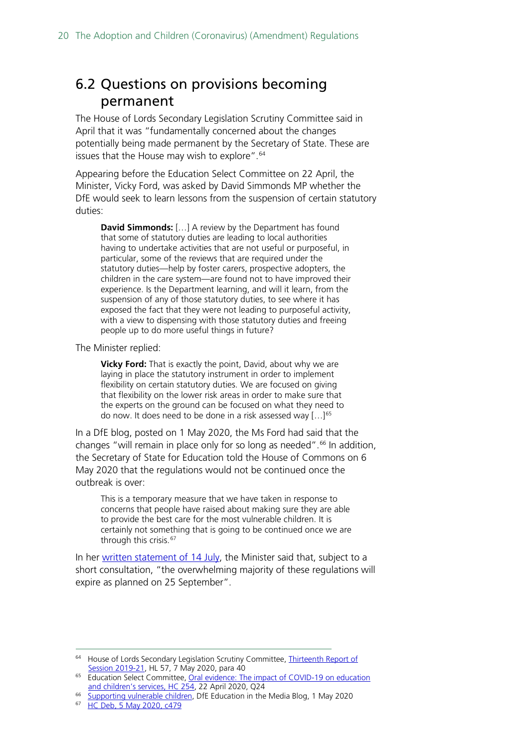### <span id="page-19-0"></span>6.2 Questions on provisions becoming permanent

The House of Lords Secondary Legislation Scrutiny Committee said in April that it was "fundamentally concerned about the changes potentially being made permanent by the Secretary of State. These are issues that the House may wish to explore".<sup>[64](#page-19-1)</sup>

Appearing before the Education Select Committee on 22 April, the Minister, Vicky Ford, was asked by David Simmonds MP whether the DfE would seek to learn lessons from the suspension of certain statutory duties:

**David Simmonds:** […] A review by the Department has found that some of statutory duties are leading to local authorities having to undertake activities that are not useful or purposeful, in particular, some of the reviews that are required under the statutory duties—help by foster carers, prospective adopters, the children in the care system—are found not to have improved their experience. Is the Department learning, and will it learn, from the suspension of any of those statutory duties, to see where it has exposed the fact that they were not leading to purposeful activity, with a view to dispensing with those statutory duties and freeing people up to do more useful things in future?

The Minister replied:

**Vicky Ford:** That is exactly the point, David, about why we are laying in place the statutory instrument in order to implement flexibility on certain statutory duties. We are focused on giving that flexibility on the lower risk areas in order to make sure that the experts on the ground can be focused on what they need to do now. It does need to be done in a risk assessed way  $[...]^{65}$  $[...]^{65}$  $[...]^{65}$ 

In a DfE blog, posted on 1 May 2020, the Ms Ford had said that the changes "will remain in place only for so long as needed".<sup>[66](#page-19-3)</sup> In addition, the Secretary of State for Education told the House of Commons on 6 May 2020 that the regulations would not be continued once the outbreak is over:

This is a temporary measure that we have taken in response to concerns that people have raised about making sure they are able to provide the best care for the most vulnerable children. It is certainly not something that is going to be continued once we are through this crisis.<sup>[67](#page-19-4)</sup>

In her [written statement of 14 July,](https://www.parliament.uk/business/publications/written-questions-answers-statements/written-statement/Commons/2020-07-14/HCWS368/) the Minister said that, subject to a short consultation, "the overwhelming majority of these regulations will expire as planned on 25 September".

<span id="page-19-1"></span><sup>&</sup>lt;sup>64</sup> House of Lords Secondary Legislation Scrutiny Committee, *Thirteenth Report of* [Session 2019-21,](https://publications.parliament.uk/pa/ld5801/ldselect/ldsecleg/57/5704.htm) HL 57, 7 May 2020, para 40

<span id="page-19-2"></span><sup>&</sup>lt;sup>65</sup> Education Select Committee, Oral evidence: The impact of COVID-19 on education [and children's services, HC 254,](https://committees.parliament.uk/oralevidence/299/pdf/) 22 April 2020, Q24

<span id="page-19-3"></span><sup>&</sup>lt;sup>66</sup> [Supporting vulnerable children,](https://dfemedia.blog.gov.uk/2020/05/01/supporting-vulnerable-children/) DfE Education in the Media Blog, 1 May 2020<br><sup>67</sup> HC Dob 5 May 2020, 6479

<span id="page-19-4"></span><sup>67</sup> [HC Deb, 5 May 2020, c479](https://hansard.parliament.uk/commons/2020-05-05/debates/9DADAFA5-BD4F-46DA-B066-8A7B21CCB1DE/Covid-19VulnerableChildren)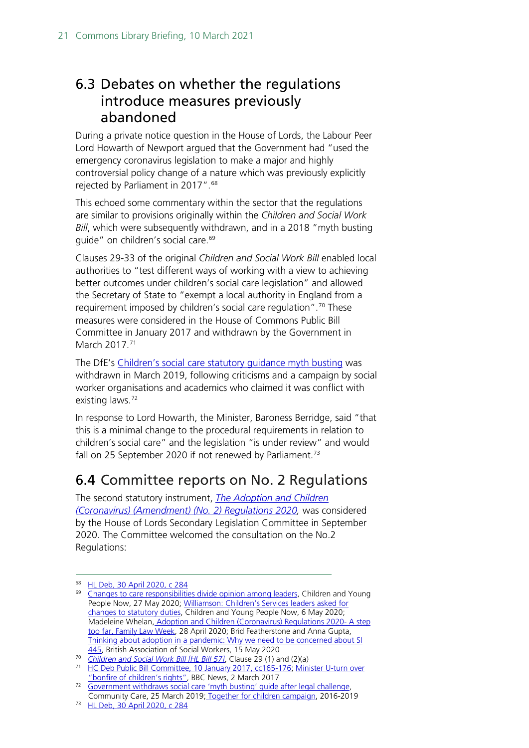### <span id="page-20-0"></span>6.3 Debates on whether the regulations introduce measures previously abandoned

During a private notice question in the House of Lords, the Labour Peer Lord Howarth of Newport argued that the Government had "used the emergency coronavirus legislation to make a major and highly controversial policy change of a nature which was previously explicitly rejected by Parliament in 2017".[68](#page-20-2)

This echoed some commentary within the sector that the regulations are similar to provisions originally within the *Children and Social Work Bill*, which were subsequently withdrawn, and in a 2018 "myth busting guide" on children's social care.<sup>[69](#page-20-3)</sup>

Clauses 29-33 of the original *Children and Social Work Bill* enabled local authorities to "test different ways of working with a view to achieving better outcomes under children's social care legislation" and allowed the Secretary of State to "exempt a local authority in England from a requirement imposed by children's social care regulation".<sup>[70](#page-20-4)</sup> These measures were considered in the House of Commons Public Bill Committee in January 2017 and withdrawn by the Government in March 2017.<sup>[71](#page-20-5)</sup>

The DfE's [Children's social care statutory guidance myth busting](https://webarchive.nationalarchives.gov.uk/20181204111347/http:/innovationcsc.co.uk/wp-content/uploads/2018/07/Statutory-Guidance-myth-busting-June2018-Final.pdf) was withdrawn in March 2019, following criticisms and a campaign by social worker organisations and academics who claimed it was conflict with existing laws.<sup>[72](#page-20-6)</sup>

In response to Lord Howarth, the Minister, Baroness Berridge, said "that this is a minimal change to the procedural requirements in relation to children's social care" and the legislation "is under review" and would fall on 25 September 2020 if not renewed by Parliament.<sup>[73](#page-20-7)</sup>

## <span id="page-20-1"></span>6.4 Committee reports on No. 2 Regulations

The second statutory instrument, *[The Adoption and Children](https://www.legislation.gov.uk/uksi/2020/909/contents/made)  [\(Coronavirus\) \(Amendment\) \(No. 2\) Regulations 2020,](https://www.legislation.gov.uk/uksi/2020/909/contents/made)* was considered by the House of Lords Secondary Legislation Committee in September 2020. The Committee welcomed the consultation on the No.2 Regulations:

<sup>68</sup> [HL Deb, 30 April 2020, c 284](https://hansard.parliament.uk/lords/2020-04-30/debates/D7667DFD-1EB3-49AA-A557-71C33244B8C4/ChildrenInCare)

<span id="page-20-3"></span><span id="page-20-2"></span><sup>&</sup>lt;sup>69</sup> [Changes to care responsibilities](https://www.cypnow.co.uk/analysis/article/changes-to-care-responsibilities-divide-opinion-among-leaders) divide opinion among leaders, Children and Young People Now, 27 May 2020; [Williamson: Children's Services leaders asked for](https://www.cypnow.co.uk/news/article/williamson-children-s-services-leaders-asked-for-changes-to-statutory-duties)  [changes to statutory duties,](https://www.cypnow.co.uk/news/article/williamson-children-s-services-leaders-asked-for-changes-to-statutory-duties) Children and Young People Now, 6 May 202[0;](https://www.familylawweek.co.uk/site.aspx?i=ed210698) Madeleine Whelan, [Adoption and Children \(Coronavirus\) Regulations 2020-](https://www.familylawweek.co.uk/site.aspx?i=ed210698) A step [too far, Family Law Week,](https://www.familylawweek.co.uk/site.aspx?i=ed210698) 28 April 2020; Brid Featherstone and Anna Gupta, Thinking about adoption in a pandemic: Why we need to be concerned about SI [445,](https://www.basw.co.uk/media/news/2020/may/thinking-about-adoption-pandemic-why-we-need-be-concerned-about-s1-445) British Association of Social Workers, 15 May 2020

<span id="page-20-4"></span><sup>70</sup> *[Children and Social Work Bill \[HL Bill 57\]](https://publications.parliament.uk/pa/bills/lbill/2016-2017/0057/lbill_2016-20170057_en_4.htm#pt1-ch2-pb6-l1g29)*, Clause 29 (1) and (2)(a)

<span id="page-20-5"></span><sup>71</sup> [HC Deb Public Bill Committee, 10 January 2017, cc165-176;](https://hansard.parliament.uk/commons/2017-01-10/debates/501792ec-66bb-4aad-a05f-117e43c35b6c/ChildrenAndSocialWorkBill(Lords)(SixthSitting)) [Minister U-turn over](https://www.bbc.co.uk/news/education-39143396)  ["bonfire of children's rights",](https://www.bbc.co.uk/news/education-39143396) BBC News, 2 March 2017

<span id="page-20-6"></span><sup>&</sup>lt;sup>72</sup> [Government withdraws social care 'myth busting' guide after legal challenge,](https://www.communitycare.co.uk/2019/03/25/government-withdraws-social-care-myth-busting-guide-legal-challenge/) Community Care, 25 March 2019; [Together for children campaign,](https://web.archive.org/web/20200512111740/https:/togetherforchildren.wordpress.com/latest/) 2016-2019

<span id="page-20-7"></span><sup>73</sup> [HL Deb, 30 April 2020, c 284](https://hansard.parliament.uk/lords/2020-04-30/debates/D7667DFD-1EB3-49AA-A557-71C33244B8C4/ChildrenInCare)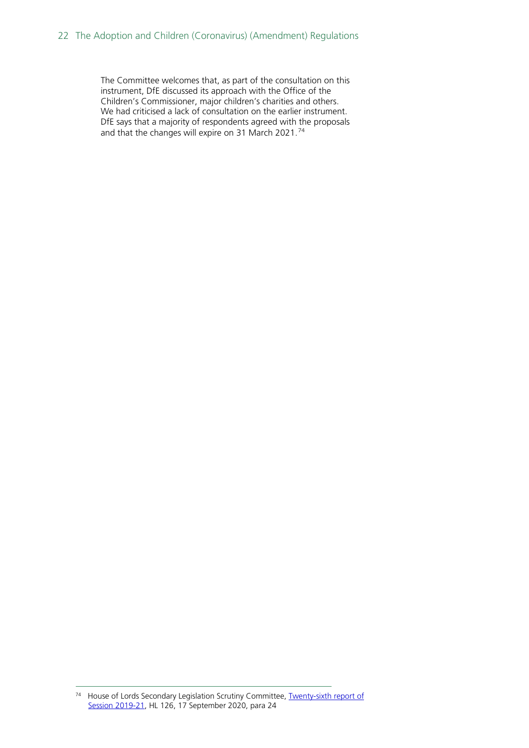The Committee welcomes that, as part of the consultation on this instrument, DfE discussed its approach with the Office of the Children's Commissioner, major children's charities and others. We had criticised a lack of consultation on the earlier instrument. DfE says that a majority of respondents agreed with the proposals and that the changes will expire on 31 March 2021.[74](#page-21-0)

<span id="page-21-0"></span><sup>&</sup>lt;sup>74</sup> House of Lords Secondary Legislation Scrutiny Committee, **Twenty-sixth report of** [Session 2019-21,](https://publications.parliament.uk/pa/ld5801/ldselect/ldsecleg/126/12605.htm#_idTextAnchor008) HL 126, 17 September 2020, para 24